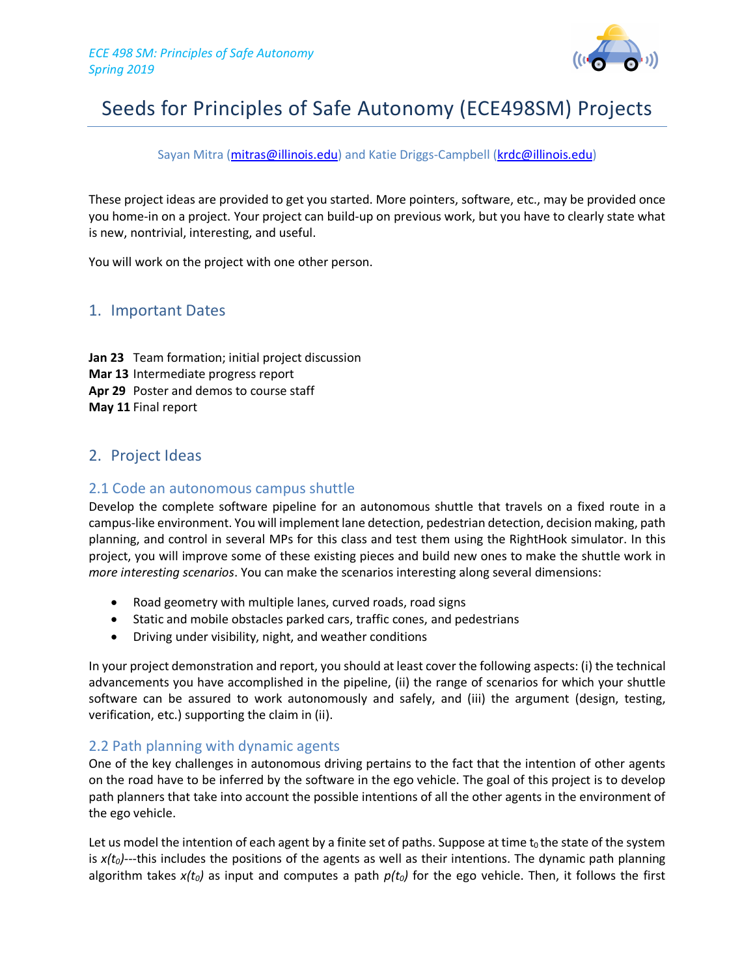

# Seeds for Principles of Safe Autonomy (ECE498SM) Projects

#### Sayan Mitra (mitras@illinois.edu) and Katie Driggs-Campbell (krdc@illinois.edu)

These project ideas are provided to get you started. More pointers, software, etc., may be provided once you home-in on a project. Your project can build-up on previous work, but you have to clearly state what is new, nontrivial, interesting, and useful.

You will work on the project with one other person.

# 1. Important Dates

**Jan 23** Team formation; initial project discussion **Mar 13** Intermediate progress report **Apr 29** Poster and demos to course staff **May 11** Final report

# 2. Project Ideas

#### 2.1 Code an autonomous campus shuttle

Develop the complete software pipeline for an autonomous shuttle that travels on a fixed route in a campus-like environment. You will implement lane detection, pedestrian detection, decision making, path planning, and control in several MPs for this class and test them using the RightHook simulator. In this project, you will improve some of these existing pieces and build new ones to make the shuttle work in *more interesting scenarios*. You can make the scenarios interesting along several dimensions:

- Road geometry with multiple lanes, curved roads, road signs
- Static and mobile obstacles parked cars, traffic cones, and pedestrians
- Driving under visibility, night, and weather conditions

In your project demonstration and report, you should at least cover the following aspects: (i) the technical advancements you have accomplished in the pipeline, (ii) the range of scenarios for which your shuttle software can be assured to work autonomously and safely, and (iii) the argument (design, testing, verification, etc.) supporting the claim in (ii).

#### 2.2 Path planning with dynamic agents

One of the key challenges in autonomous driving pertains to the fact that the intention of other agents on the road have to be inferred by the software in the ego vehicle. The goal of this project is to develop path planners that take into account the possible intentions of all the other agents in the environment of the ego vehicle.

Let us model the intention of each agent by a finite set of paths. Suppose at time  $t_0$  the state of the system is  $x(t_0)$ ---this includes the positions of the agents as well as their intentions. The dynamic path planning algorithm takes  $x(t_0)$  as input and computes a path  $p(t_0)$  for the ego vehicle. Then, it follows the first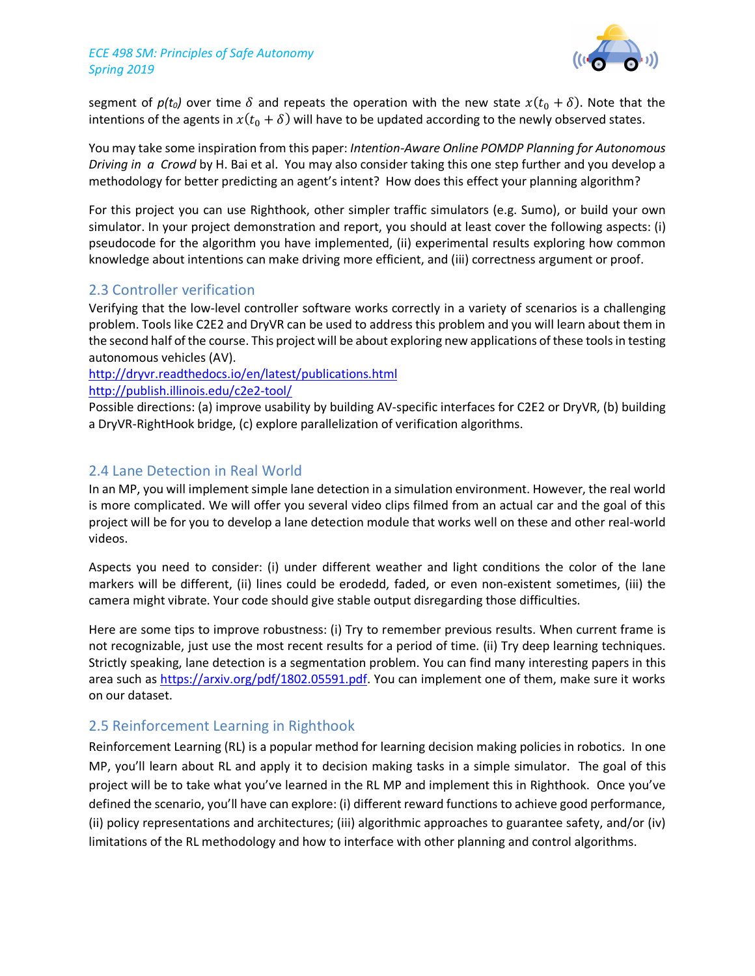#### *ECE 498 SM: Principles of Safe Autonomy Spring 2019*



segment of  $p(t_0)$  over time  $\delta$  and repeats the operation with the new state  $x(t_0 + \delta)$ . Note that the intentions of the agents in  $x(t_0 + \delta)$  will have to be updated according to the newly observed states.

You may take some inspiration from this paper: *Intention-Aware Online POMDP Planning for Autonomous Driving in a Crowd* by H. Bai et al. You may also consider taking this one step further and you develop a methodology for better predicting an agent's intent? How does this effect your planning algorithm?

For this project you can use Righthook, other simpler traffic simulators (e.g. Sumo), or build your own simulator. In your project demonstration and report, you should at least cover the following aspects: (i) pseudocode for the algorithm you have implemented, (ii) experimental results exploring how common knowledge about intentions can make driving more efficient, and (iii) correctness argument or proof.

## 2.3 Controller verification

Verifying that the low-level controller software works correctly in a variety of scenarios is a challenging problem. Tools like C2E2 and DryVR can be used to address this problem and you will learn about them in the second half of the course. This project will be about exploring new applications of these tools in testing autonomous vehicles (AV).

http://dryvr.readthedocs.io/en/latest/publications.html http://publish.illinois.edu/c2e2-tool/

Possible directions: (a) improve usability by building AV-specific interfaces for C2E2 or DryVR, (b) building a DryVR-RightHook bridge, (c) explore parallelization of verification algorithms.

## 2.4 Lane Detection in Real World

In an MP, you will implement simple lane detection in a simulation environment. However, the real world is more complicated. We will offer you several video clips filmed from an actual car and the goal of this project will be for you to develop a lane detection module that works well on these and other real-world videos.

Aspects you need to consider: (i) under different weather and light conditions the color of the lane markers will be different, (ii) lines could be erodedd, faded, or even non-existent sometimes, (iii) the camera might vibrate. Your code should give stable output disregarding those difficulties.

Here are some tips to improve robustness: (i) Try to remember previous results. When current frame is not recognizable, just use the most recent results for a period of time. (ii) Try deep learning techniques. Strictly speaking, lane detection is a segmentation problem. You can find many interesting papers in this area such as https://arxiv.org/pdf/1802.05591.pdf. You can implement one of them, make sure it works on our dataset.

# 2.5 Reinforcement Learning in Righthook

Reinforcement Learning (RL) is a popular method for learning decision making policies in robotics. In one MP, you'll learn about RL and apply it to decision making tasks in a simple simulator. The goal of this project will be to take what you've learned in the RL MP and implement this in Righthook. Once you've defined the scenario, you'll have can explore: (i) different reward functions to achieve good performance, (ii) policy representations and architectures; (iii) algorithmic approaches to guarantee safety, and/or (iv) limitations of the RL methodology and how to interface with other planning and control algorithms.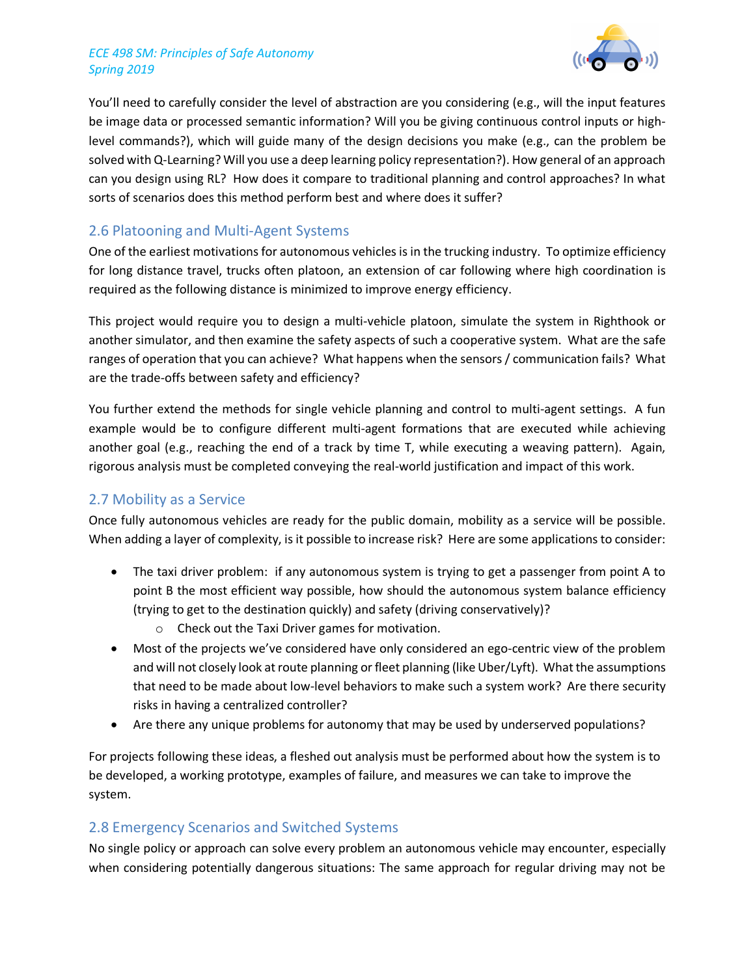#### *ECE 498 SM: Principles of Safe Autonomy Spring 2019*



You'll need to carefully consider the level of abstraction are you considering (e.g., will the input features be image data or processed semantic information? Will you be giving continuous control inputs or highlevel commands?), which will guide many of the design decisions you make (e.g., can the problem be solved with Q-Learning? Will you use a deep learning policy representation?). How general of an approach can you design using RL? How does it compare to traditional planning and control approaches? In what sorts of scenarios does this method perform best and where does it suffer?

## 2.6 Platooning and Multi-Agent Systems

One of the earliest motivations for autonomous vehicles is in the trucking industry. To optimize efficiency for long distance travel, trucks often platoon, an extension of car following where high coordination is required as the following distance is minimized to improve energy efficiency.

This project would require you to design a multi-vehicle platoon, simulate the system in Righthook or another simulator, and then examine the safety aspects of such a cooperative system. What are the safe ranges of operation that you can achieve? What happens when the sensors / communication fails? What are the trade-offs between safety and efficiency?

You further extend the methods for single vehicle planning and control to multi-agent settings. A fun example would be to configure different multi-agent formations that are executed while achieving another goal (e.g., reaching the end of a track by time T, while executing a weaving pattern). Again, rigorous analysis must be completed conveying the real-world justification and impact of this work.

## 2.7 Mobility as a Service

Once fully autonomous vehicles are ready for the public domain, mobility as a service will be possible. When adding a layer of complexity, is it possible to increase risk? Here are some applications to consider:

- The taxi driver problem: if any autonomous system is trying to get a passenger from point A to point B the most efficient way possible, how should the autonomous system balance efficiency (trying to get to the destination quickly) and safety (driving conservatively)?
	- o Check out the Taxi Driver games for motivation.
- Most of the projects we've considered have only considered an ego-centric view of the problem and will not closely look at route planning or fleet planning (like Uber/Lyft). What the assumptions that need to be made about low-level behaviors to make such a system work? Are there security risks in having a centralized controller?
- Are there any unique problems for autonomy that may be used by underserved populations?

For projects following these ideas, a fleshed out analysis must be performed about how the system is to be developed, a working prototype, examples of failure, and measures we can take to improve the system.

## 2.8 Emergency Scenarios and Switched Systems

No single policy or approach can solve every problem an autonomous vehicle may encounter, especially when considering potentially dangerous situations: The same approach for regular driving may not be